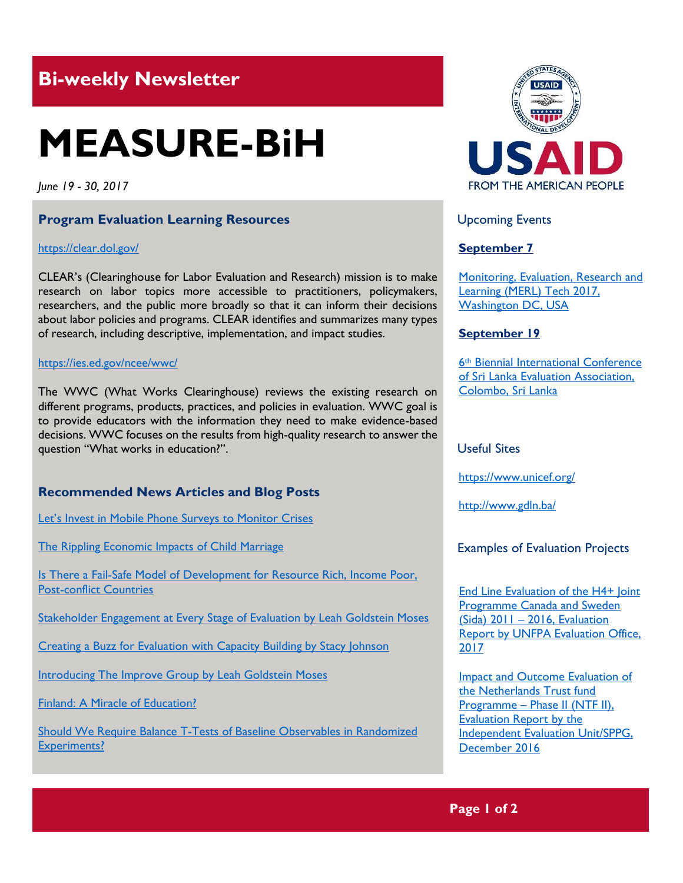# **Bi-weekly Newsletter**

# **MEASURE-BiH**

*June 19 - 30, 2017*

#### **Program Evaluation Learning Resources**

#### <https://clear.dol.gov/>

CLEAR's (Clearinghouse for Labor Evaluation and Research) mission is to make research on labor topics more accessible to practitioners, policymakers, researchers, and the public more broadly so that it can inform their decisions about labor policies and programs. CLEAR identifies and summarizes many types of research, including descriptive, implementation, and impact studies.

#### <https://ies.ed.gov/ncee/wwc/>

The WWC (What Works Clearinghouse) reviews the existing research on different programs, products, practices, and policies in evaluation. WWC goal is to provide educators with the information they need to make evidence-based decisions. WWC focuses on the results from high-quality research to answer the question "What works in education?".

# **Recommended News Articles and Blog Posts**

[Let's Invest in Mobile Phone Surveys to Monitor Crises](https://blogs.worldbank.org/africacan/lets-invest-in-mobile-phone-surveys-to-monitor-crises)

[The Rippling Economic Impacts of Child Marriage](https://blogs.worldbank.org/education/rippling-economic-impacts-child-marriage)

Is There a Fail-Safe Model of Development for Resource Rich, Income Poor, [Post-conflict Countries](https://blogs.worldbank.org/nasikiliza/is-there-a-fail-safe-model-of-development-for-resource-rich-income-poor-post-conflict-countries)

[Stakeholder Engagement at Every Stage of Evaluation by Leah Goldstein Moses](http://aea365.org/blog/the-improve-group-week-stakeholder-engagement-at-every-stage-of-evaluation-by-leah-goldstein-moses/?utm_source=feedburner&utm_medium=feed&utm_campaign=Feed%3A+aea365+%28AEA365%29)

[Creating a Buzz for Evaluation with Capacity Building by Stacy Johnson](http://aea365.org/blog/the-improve-group-week-creating-a-buzz-for-evaluation-with-capacity-building-by-stacy-johnson/?utm_source=feedburner&utm_medium=feed&utm_campaign=Feed%3A+aea365+%28AEA365%29)

[Introducing The Improve Group by Leah Goldstein Moses](http://aea365.org/blog/the-improve-group-week-introducing-the-improve-group-by-leah-goldstein-moses/?utm_source=feedburner&utm_medium=feed&utm_campaign=Feed%3A+aea365+%28AEA365%29)

[Finland: A Miracle of Education?](https://blogs.worldbank.org/education/finland-miracle-education)

[Should We Require Balance T-Tests of Baseline Observables in Randomized](https://blogs.worldbank.org/impactevaluations/should-we-require-balance-t-tests-baseline-observables-randomized-experiments)  [Experiments?](https://blogs.worldbank.org/impactevaluations/should-we-require-balance-t-tests-baseline-observables-randomized-experiments)



Upcoming Events

# **September 7**

[Monitoring, Evaluation, Research and](http://mande.co.uk/conferences/?event_id1=35)  [Learning \(MERL\) Tech 2017,](http://mande.co.uk/conferences/?event_id1=35)  [Washington DC, USA](http://mande.co.uk/conferences/?event_id1=35)

#### **September 19**

6th [Biennial International Conference](http://mande.co.uk/conferences/?event_id1=34)  [of Sri Lanka Evaluation Association,](http://mande.co.uk/conferences/?event_id1=34)  [Colombo, Sri Lanka](http://mande.co.uk/conferences/?event_id1=34)

#### Useful Sites

[https://w](https://euagencies.eu/)ww.unicef.org/

http://www.gdln.ba/

# Examples of Evaluation Projects

[End Line Evaluation of the H4+ Joint](http://www.unfpa.org/sites/default/files/admin-resource/H4JPCS_Evaluation_Report.pdf)  [Programme Canada and Sweden](http://www.unfpa.org/sites/default/files/admin-resource/H4JPCS_Evaluation_Report.pdf)   $(Sida)$  2011 – 2016, Evaluation [Report by UNFPA Evaluation Office,](http://www.unfpa.org/sites/default/files/admin-resource/H4JPCS_Evaluation_Report.pdf)  [2017](http://www.unfpa.org/sites/default/files/admin-resource/H4JPCS_Evaluation_Report.pdf)

[Impact and Outcome Evaluation of](http://www.uneval.org/evaluation/reports/detail/7674)  [the Netherlands Trust fund](http://www.uneval.org/evaluation/reports/detail/7674)  Programme – Phase II (NTF II), [Evaluation Report](http://www.uneval.org/evaluation/reports/detail/7674) by the [Independent Evaluation Unit/SPPG,](http://www.uneval.org/evaluation/reports/detail/7674)  [December 2016](http://www.uneval.org/evaluation/reports/detail/7674)